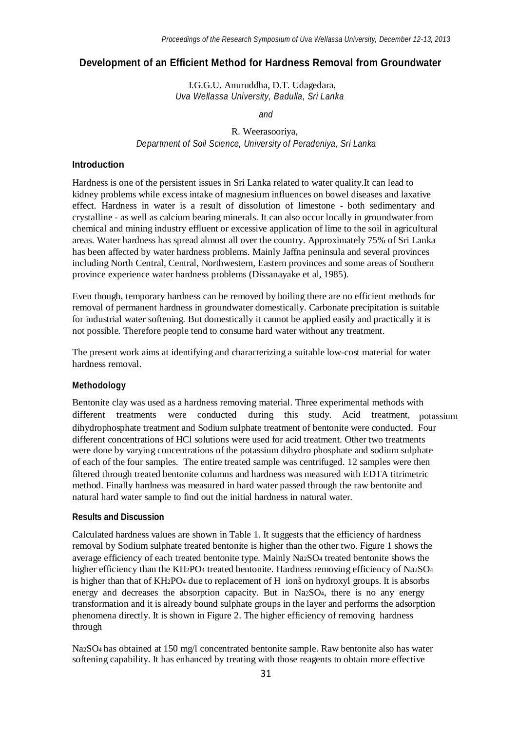## **Development of an Efficient Method for Hardness Removal from Groundwater**

I.G.G.U. Anuruddha, D.T. Udagedara, *Uva Wellassa University, Badulla, Sri Lanka*

*and*

# R. Weerasooriya, *Department of Soil Science, University of Peradeniya, Sri Lanka*

#### **Introduction**

Hardness is one of the persistent issues in Sri Lanka related to water quality.It can lead to kidney problems while excess intake of magnesium influences on bowel diseases and laxative effect. Hardness in water is a result of dissolution of limestone - both sedimentary and crystalline - as well as calcium bearing minerals. It can also occur locally in groundwater from chemical and mining industry effluent or excessive application of lime to the soil in agricultural areas. Water hardness has spread almost all over the country. Approximately 75% of Sri Lanka has been affected by water hardness problems. Mainly Jaffna peninsula and several provinces including North Central, Central, Northwestern, Eastern provinces and some areas of Southern province experience water hardness problems (Dissanayake et al, 1985).

Even though, temporary hardness can be removed by boiling there are no efficient methods for removal of permanent hardness in groundwater domestically. Carbonate precipitation is suitable for industrial water softening. But domestically it cannot be applied easily and practically it is not possible. Therefore people tend to consume hard water without any treatment.

The present work aims at identifying and characterizing a suitable low-cost material for water hardness removal.

## **Methodology**

different treatments were conducted during this study. Acid treatment, potassium dihydrophosphate treatment and Sodium sulphate treatment of bentonite were conducted. Four different concentrations of HCl solutions were used for acid treatment. Other two treatments were done by varying concentrations of the potassium dihydro phosphate and sodium sulphate of each of the four samples. The entire treated sample was centrifuged. 12 samples were then filtered through treated bentonite columns and hardness was measured with EDTA titrimetric method. Finally hardness was measured in hard water passed through the raw bentonite and natural hard water sample to find out the initial hardness in natural water. Bentonite clay was used as a hardness removing material. Three experimental methods with

#### **Results and Discussion**

is higher than that of KH2PO4 due to replacement of H ions on hydroxyl groups. It is absorbs Calculated hardness values are shown in Table 1. It suggests that the efficiency of hardness removal by Sodium sulphate treated bentonite is higher than the other two. Figure 1 shows the average efficiency of each treated bentonite type. Mainly Na2SO<sup>4</sup> treated bentonite shows the higher efficiency than the KH2PO4 treated bentonite. Hardness removing efficiency of Na2SO4 energy and decreases the absorption capacity. But in Na2SO4, there is no any energy transformation and it is already bound sulphate groups in the layer and performs the adsorption phenomena directly. It is shown in Figure 2. The higher efficiency of removing hardness through

Na2SO<sup>4</sup> has obtained at 150 mg/l concentrated bentonite sample. Raw bentonite also has water softening capability. It has enhanced by treating with those reagents to obtain more effective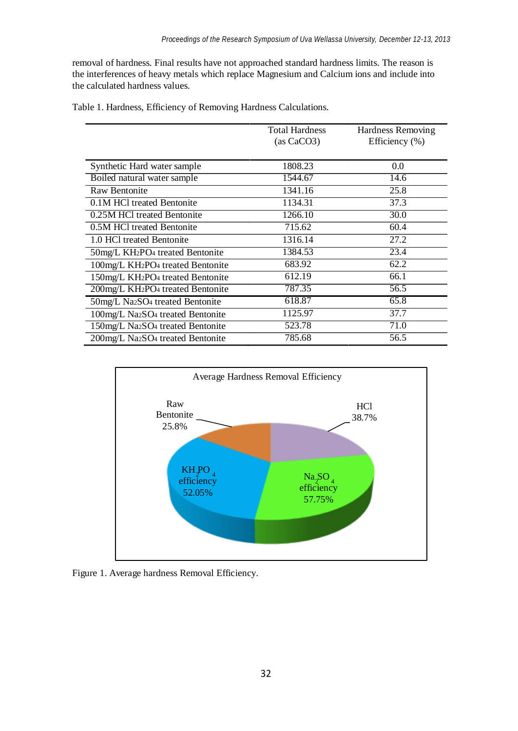removal of hardness. Final results have not approached standard hardness limits. The reason is the interferences of heavy metals which replace Magnesium and Calcium ions and include into the calculated hardness values.

|  |  |  |  |  |  | Table 1. Hardness, Efficiency of Removing Hardness Calculations. |  |
|--|--|--|--|--|--|------------------------------------------------------------------|--|
|--|--|--|--|--|--|------------------------------------------------------------------|--|

|                                              | <b>Total Hardness</b> | Hardness Removing |
|----------------------------------------------|-----------------------|-------------------|
|                                              | (as CaCO3)            | Efficiency $(\%)$ |
|                                              |                       |                   |
| Synthetic Hard water sample                  | 1808.23               | 0.0               |
| Boiled natural water sample                  | 1544.67               | 14.6              |
| <b>Raw Bentonite</b>                         | 1341.16               | 25.8              |
| 0.1M HCl treated Bentonite                   | 1134.31               | 37.3              |
| 0.25M HCl treated Bentonite                  | 1266.10               | 30.0              |
| 0.5M HCl treated Bentonite                   | 715.62                | 60.4              |
| 1.0 HCl treated Bentonite                    | 1316.14               | 27.2              |
| 50mg/L KH2PO <sub>4</sub> treated Bentonite  | 1384.53               | 23.4              |
| 100mg/L KH2PO <sub>4</sub> treated Bentonite | 683.92                | 62.2              |
| 150mg/L KH2PO <sub>4</sub> treated Bentonite | 612.19                | 66.1              |
| 200mg/L KH2PO <sub>4</sub> treated Bentonite | 787.35                | 56.5              |
| 50mg/L Na2SO <sub>4</sub> treated Bentonite  | 618.87                | 65.8              |
| 100mg/L Na2SO <sub>4</sub> treated Bentonite | 1125.97               | 37.7              |
| 150mg/L Na2SO <sub>4</sub> treated Bentonite | 523.78                | 71.0              |
| 200mg/L Na2SO <sub>4</sub> treated Bentonite | 785.68                | 56.5              |



Figure 1. Average hardness Removal Efficiency.